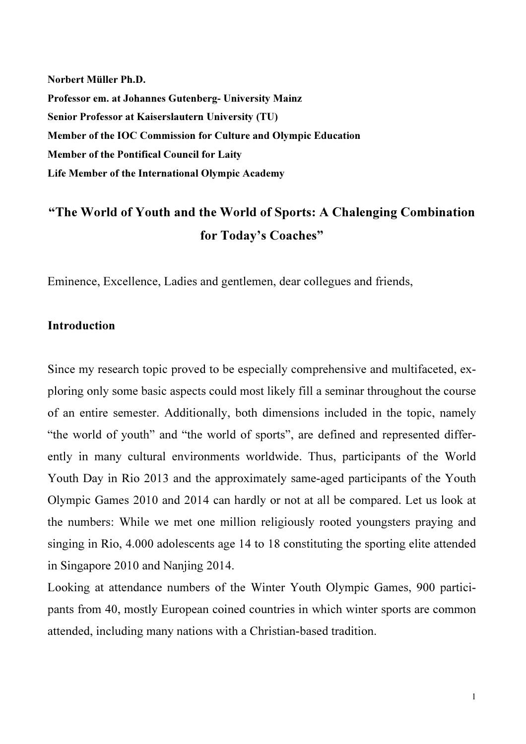Norbert Müller Ph.D. Professor em. at Johannes Gutenberg- University Mainz Senior Professor at Kaiserslautern University (TU) Member of the IOC Commission for Culture and Olympic Education Member of the Pontifical Council for Laity Life Member of the International Olympic Academy

# "The World of Youth and the World of Sports: A Chalenging Combination for Today's Coaches"

Eminence, Excellence, Ladies and gentlemen, dear collegues and friends,

### **Introduction**

Since my research topic proved to be especially comprehensive and multifaceted, exploring only some basic aspects could most likely fill a seminar throughout the course of an entire semester. Additionally, both dimensions included in the topic, namely "the world of youth" and "the world of sports", are defined and represented differently in many cultural environments worldwide. Thus, participants of the World Youth Day in Rio 2013 and the approximately same-aged participants of the Youth Olympic Games 2010 and 2014 can hardly or not at all be compared. Let us look at the numbers: While we met one million religiously rooted youngsters praying and singing in Rio, 4.000 adolescents age 14 to 18 constituting the sporting elite attended in Singapore 2010 and Nanjing 2014.

Looking at attendance numbers of the Winter Youth Olympic Games, 900 participants from 40, mostly European coined countries in which winter sports are common attended, including many nations with a Christian-based tradition.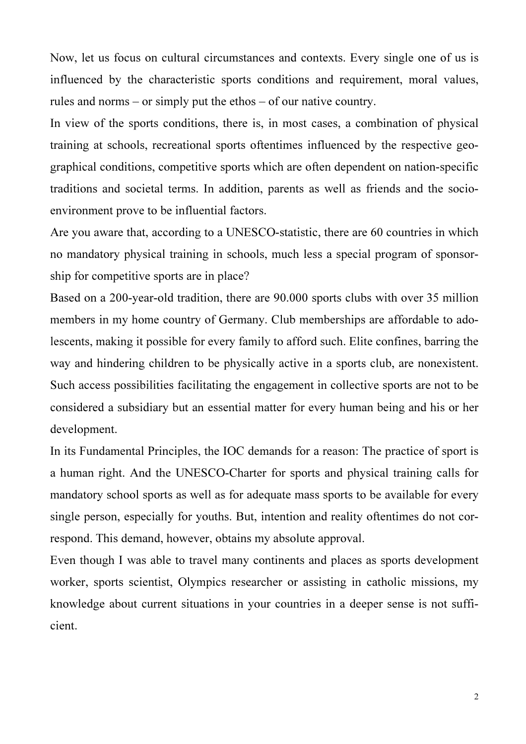Now, let us focus on cultural circumstances and contexts. Every single one of us is influenced by the characteristic sports conditions and requirement, moral values, rules and norms – or simply put the ethos – of our native country.

In view of the sports conditions, there is, in most cases, a combination of physical training at schools, recreational sports oftentimes influenced by the respective geographical conditions, competitive sports which are often dependent on nation-specific traditions and societal terms. In addition, parents as well as friends and the socioenvironment prove to be influential factors.

Are you aware that, according to a UNESCO-statistic, there are 60 countries in which no mandatory physical training in schools, much less a special program of sponsorship for competitive sports are in place?

Based on a 200-year-old tradition, there are 90.000 sports clubs with over 35 million members in my home country of Germany. Club memberships are affordable to adolescents, making it possible for every family to afford such. Elite confines, barring the way and hindering children to be physically active in a sports club, are nonexistent. Such access possibilities facilitating the engagement in collective sports are not to be considered a subsidiary but an essential matter for every human being and his or her development.

In its Fundamental Principles, the IOC demands for a reason: The practice of sport is a human right. And the UNESCO-Charter for sports and physical training calls for mandatory school sports as well as for adequate mass sports to be available for every single person, especially for youths. But, intention and reality oftentimes do not correspond. This demand, however, obtains my absolute approval.

Even though I was able to travel many continents and places as sports development worker, sports scientist, Olympics researcher or assisting in catholic missions, my knowledge about current situations in your countries in a deeper sense is not sufficient.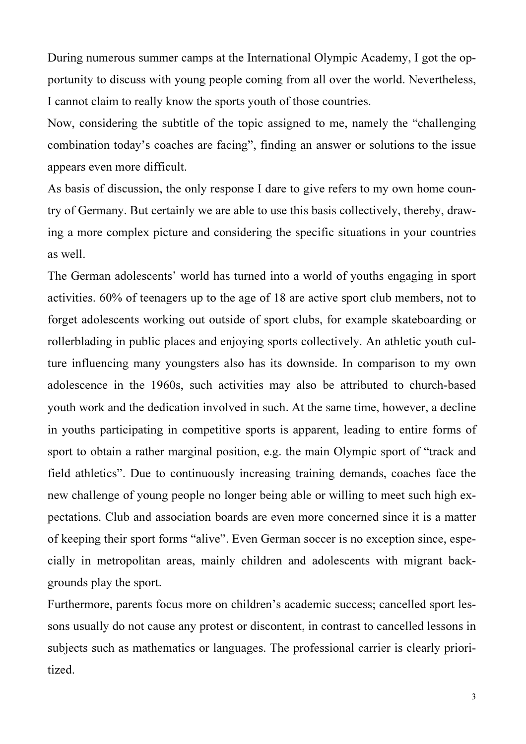During numerous summer camps at the International Olympic Academy, I got the opportunity to discuss with young people coming from all over the world. Nevertheless, I cannot claim to really know the sports youth of those countries.

Now, considering the subtitle of the topic assigned to me, namely the "challenging combination today's coaches are facing", finding an answer or solutions to the issue appears even more difficult.

As basis of discussion, the only response I dare to give refers to my own home country of Germany. But certainly we are able to use this basis collectively, thereby, drawing a more complex picture and considering the specific situations in your countries as well.

The German adolescents' world has turned into a world of youths engaging in sport activities. 60% of teenagers up to the age of 18 are active sport club members, not to forget adolescents working out outside of sport clubs, for example skateboarding or rollerblading in public places and enjoying sports collectively. An athletic youth culture influencing many youngsters also has its downside. In comparison to my own adolescence in the 1960s, such activities may also be attributed to church-based youth work and the dedication involved in such. At the same time, however, a decline in youths participating in competitive sports is apparent, leading to entire forms of sport to obtain a rather marginal position, e.g. the main Olympic sport of "track and field athletics". Due to continuously increasing training demands, coaches face the new challenge of young people no longer being able or willing to meet such high expectations. Club and association boards are even more concerned since it is a matter of keeping their sport forms "alive". Even German soccer is no exception since, especially in metropolitan areas, mainly children and adolescents with migrant backgrounds play the sport.

Furthermore, parents focus more on children's academic success; cancelled sport lessons usually do not cause any protest or discontent, in contrast to cancelled lessons in subjects such as mathematics or languages. The professional carrier is clearly prioritized.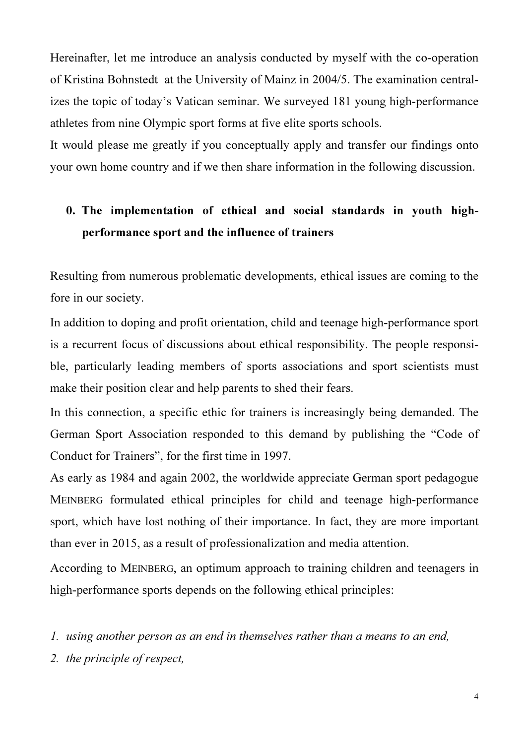Hereinafter, let me introduce an analysis conducted by myself with the co-operation of Kristina Bohnstedt at the University of Mainz in 2004/5. The examination centralizes the topic of today's Vatican seminar. We surveyed 181 young high-performance athletes from nine Olympic sport forms at five elite sports schools.

It would please me greatly if you conceptually apply and transfer our findings onto your own home country and if we then share information in the following discussion.

## 0. The implementation of ethical and social standards in youth highperformance sport and the influence of trainers

Resulting from numerous problematic developments, ethical issues are coming to the fore in our society.

In addition to doping and profit orientation, child and teenage high-performance sport is a recurrent focus of discussions about ethical responsibility. The people responsible, particularly leading members of sports associations and sport scientists must make their position clear and help parents to shed their fears.

In this connection, a specific ethic for trainers is increasingly being demanded. The German Sport Association responded to this demand by publishing the "Code of Conduct for Trainers", for the first time in 1997.

As early as 1984 and again 2002, the worldwide appreciate German sport pedagogue MEINBERG formulated ethical principles for child and teenage high-performance sport, which have lost nothing of their importance. In fact, they are more important than ever in 2015, as a result of professionalization and media attention.

According to MEINBERG, an optimum approach to training children and teenagers in high-performance sports depends on the following ethical principles:

1. using another person as an end in themselves rather than a means to an end,

2. the principle of respect,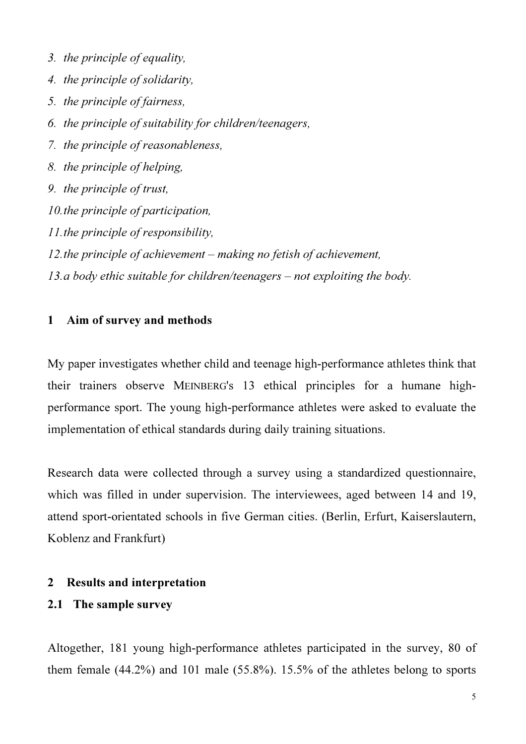- 3. the principle of equality,
- 4. the principle of solidarity,
- 5. the principle of fairness,
- 6. the principle of suitability for children/teenagers,
- 7. the principle of reasonableness,
- 8. the principle of helping,
- 9. the principle of trust,
- 10.the principle of participation,
- 11.the principle of responsibility,
- 12.the principle of achievement making no fetish of achievement,
- 13.a body ethic suitable for children/teenagers not exploiting the body.

### 1 Aim of survey and methods

My paper investigates whether child and teenage high-performance athletes think that their trainers observe MEINBERG's 13 ethical principles for a humane highperformance sport. The young high-performance athletes were asked to evaluate the implementation of ethical standards during daily training situations.

Research data were collected through a survey using a standardized questionnaire, which was filled in under supervision. The interviewees, aged between 14 and 19, attend sport-orientated schools in five German cities. (Berlin, Erfurt, Kaiserslautern, Koblenz and Frankfurt)

#### 2 Results and interpretation

## 2.1 The sample survey

Altogether, 181 young high-performance athletes participated in the survey, 80 of them female (44.2%) and 101 male (55.8%). 15.5% of the athletes belong to sports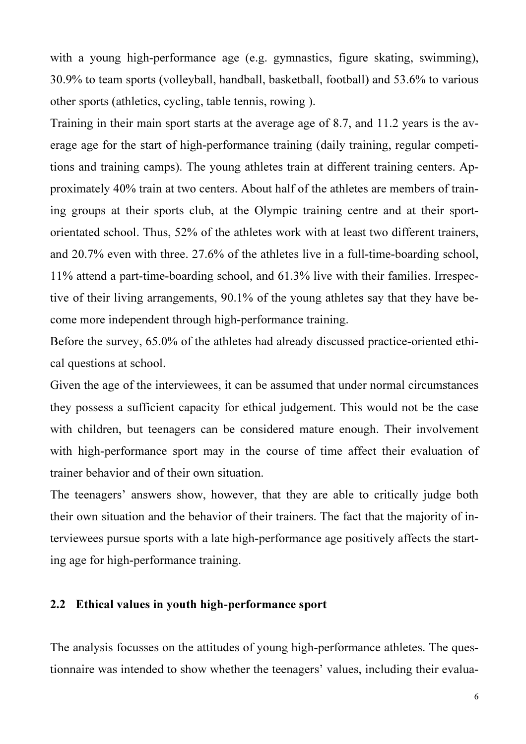with a young high-performance age (e.g. gymnastics, figure skating, swimming), 30.9% to team sports (volleyball, handball, basketball, football) and 53.6% to various other sports (athletics, cycling, table tennis, rowing ).

Training in their main sport starts at the average age of 8.7, and 11.2 years is the average age for the start of high-performance training (daily training, regular competitions and training camps). The young athletes train at different training centers. Approximately 40% train at two centers. About half of the athletes are members of training groups at their sports club, at the Olympic training centre and at their sportorientated school. Thus, 52% of the athletes work with at least two different trainers, and 20.7% even with three. 27.6% of the athletes live in a full-time-boarding school, 11% attend a part-time-boarding school, and 61.3% live with their families. Irrespective of their living arrangements, 90.1% of the young athletes say that they have become more independent through high-performance training.

Before the survey, 65.0% of the athletes had already discussed practice-oriented ethical questions at school.

Given the age of the interviewees, it can be assumed that under normal circumstances they possess a sufficient capacity for ethical judgement. This would not be the case with children, but teenagers can be considered mature enough. Their involvement with high-performance sport may in the course of time affect their evaluation of trainer behavior and of their own situation.

The teenagers' answers show, however, that they are able to critically judge both their own situation and the behavior of their trainers. The fact that the majority of interviewees pursue sports with a late high-performance age positively affects the starting age for high-performance training.

## 2.2 Ethical values in youth high-performance sport

The analysis focusses on the attitudes of young high-performance athletes. The questionnaire was intended to show whether the teenagers' values, including their evalua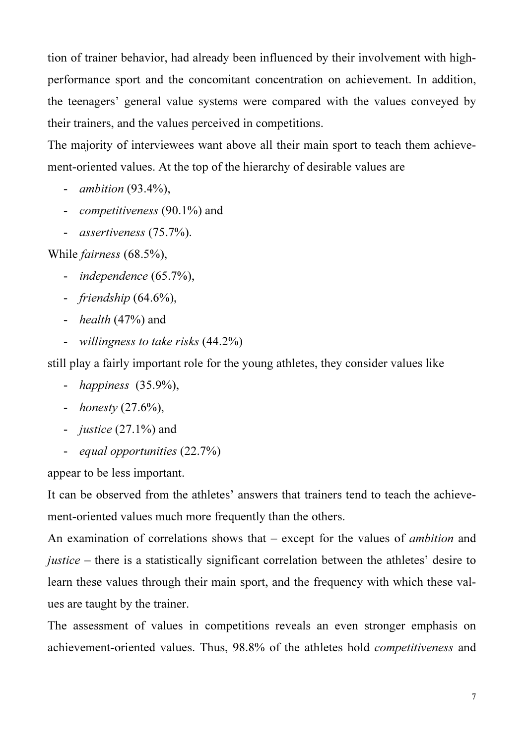tion of trainer behavior, had already been influenced by their involvement with highperformance sport and the concomitant concentration on achievement. In addition, the teenagers' general value systems were compared with the values conveyed by their trainers, and the values perceived in competitions.

The majority of interviewees want above all their main sport to teach them achievement-oriented values. At the top of the hierarchy of desirable values are

- ambition (93.4%),
- competitiveness (90.1%) and
- assertiveness (75.7%).

While fairness (68.5%),

- independence (65.7%),
- friendship (64.6%),
- $\;$  *health* (47%) and
- willingness to take risks (44.2%)

still play a fairly important role for the young athletes, they consider values like

- happiness (35.9%),
- *honesty*  $(27.6\%)$ ,
- *justice*  $(27.1\%)$  and
- equal opportunities (22.7%)

appear to be less important.

It can be observed from the athletes' answers that trainers tend to teach the achievement-oriented values much more frequently than the others.

An examination of correlations shows that  $-$  except for the values of *ambition* and justice – there is a statistically significant correlation between the athletes' desire to learn these values through their main sport, and the frequency with which these values are taught by the trainer.

The assessment of values in competitions reveals an even stronger emphasis on achievement-oriented values. Thus, 98.8% of the athletes hold competitiveness and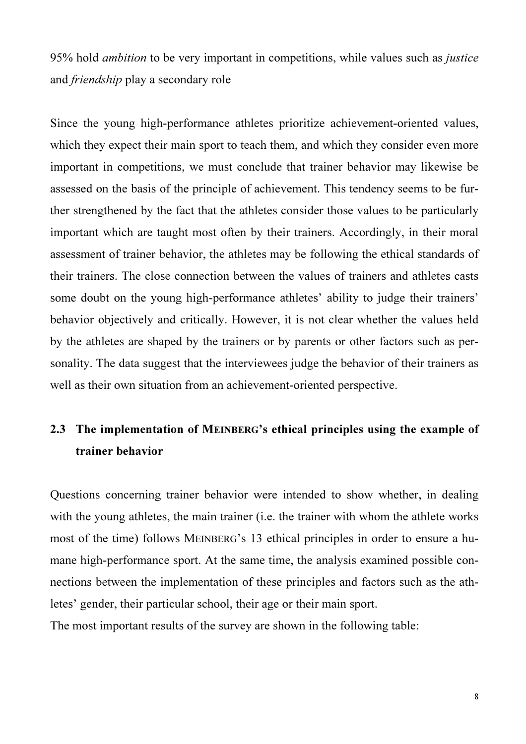95% hold *ambition* to be very important in competitions, while values such as *justice* and friendship play a secondary role

Since the young high-performance athletes prioritize achievement-oriented values, which they expect their main sport to teach them, and which they consider even more important in competitions, we must conclude that trainer behavior may likewise be assessed on the basis of the principle of achievement. This tendency seems to be further strengthened by the fact that the athletes consider those values to be particularly important which are taught most often by their trainers. Accordingly, in their moral assessment of trainer behavior, the athletes may be following the ethical standards of their trainers. The close connection between the values of trainers and athletes casts some doubt on the young high-performance athletes' ability to judge their trainers' behavior objectively and critically. However, it is not clear whether the values held by the athletes are shaped by the trainers or by parents or other factors such as personality. The data suggest that the interviewees judge the behavior of their trainers as well as their own situation from an achievement-oriented perspective.

## 2.3 The implementation of MEINBERG's ethical principles using the example of trainer behavior

Questions concerning trainer behavior were intended to show whether, in dealing with the young athletes, the main trainer (i.e. the trainer with whom the athlete works most of the time) follows MEINBERG's 13 ethical principles in order to ensure a humane high-performance sport. At the same time, the analysis examined possible connections between the implementation of these principles and factors such as the athletes' gender, their particular school, their age or their main sport.

The most important results of the survey are shown in the following table: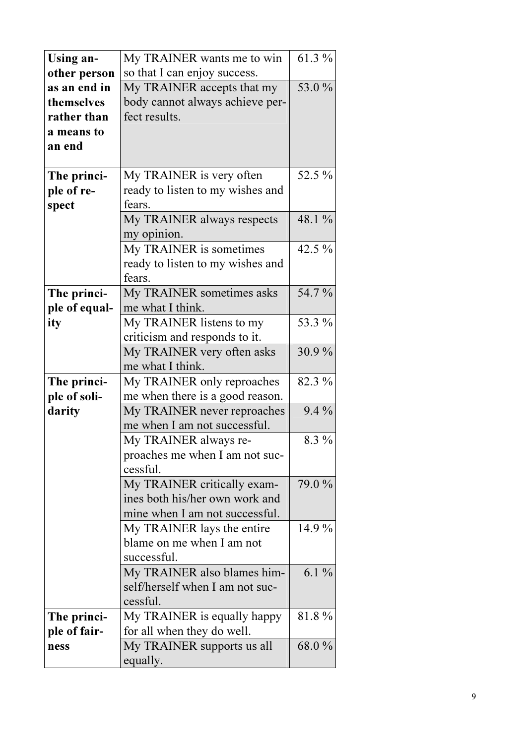| Using an-     | My TRAINER wants me to win       | 61.3 %   |
|---------------|----------------------------------|----------|
| other person  | so that I can enjoy success.     |          |
| as an end in  | My TRAINER accepts that my       | 53.0%    |
| themselves    | body cannot always achieve per-  |          |
| rather than   | fect results.                    |          |
| a means to    |                                  |          |
| an end        |                                  |          |
|               |                                  |          |
| The princi-   | My TRAINER is very often         | 52.5 %   |
| ple of re-    | ready to listen to my wishes and |          |
| spect         | fears.                           |          |
|               | My TRAINER always respects       | 48.1 %   |
|               | my opinion.                      |          |
|               | My TRAINER is sometimes          | 42.5 $%$ |
|               | ready to listen to my wishes and |          |
|               | fears.                           |          |
| The princi-   | My TRAINER sometimes asks        | 54.7%    |
| ple of equal- | me what I think.                 |          |
| ity           | My TRAINER listens to my         | 53.3 %   |
|               | criticism and responds to it.    |          |
|               | My TRAINER very often asks       | 30.9%    |
|               | me what I think.                 |          |
| The princi-   | My TRAINER only reproaches       | 82.3 %   |
| ple of soli-  | me when there is a good reason.  |          |
| darity        | My TRAINER never reproaches      | $9.4\%$  |
|               | me when I am not successful.     |          |
|               | My TRAINER always re-            | 8.3 %    |
|               | proaches me when I am not suc-   |          |
|               | cessful.                         |          |
|               | My TRAINER critically exam-      | 79.0 %   |
|               | ines both his/her own work and   |          |
|               | mine when I am not successful.   |          |
|               | My TRAINER lays the entire       | 14.9 %   |
|               | blame on me when I am not        |          |
|               | successful.                      |          |
|               | My TRAINER also blames him-      | $6.1\%$  |
|               | self/herself when I am not suc-  |          |
|               | cessful.                         |          |
| The princi-   | My TRAINER is equally happy      | 81.8%    |
| ple of fair-  | for all when they do well.       |          |
| ness          | My TRAINER supports us all       | 68.0%    |
|               | equally.                         |          |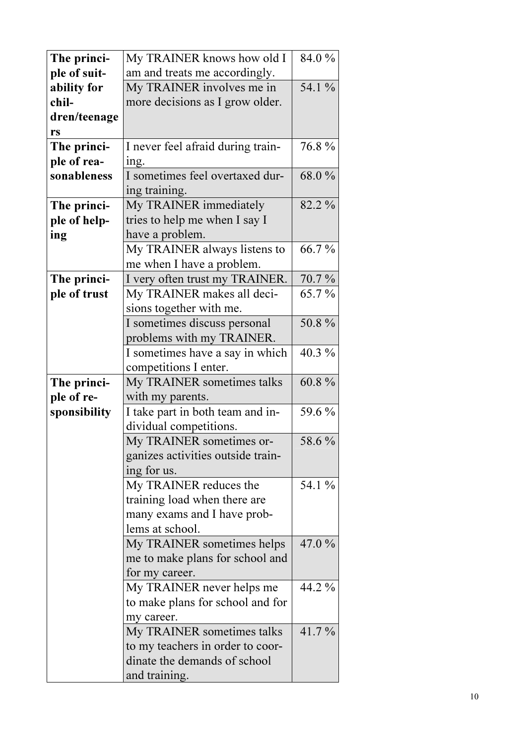| The princi-  | My TRAINER knows how old I        | 84.0 %   |
|--------------|-----------------------------------|----------|
| ple of suit- | am and treats me accordingly.     |          |
| ability for  | My TRAINER involves me in         | 54.1 %   |
| chil-        | more decisions as I grow older.   |          |
| dren/teenage |                                   |          |
| rs           |                                   |          |
| The princi-  | I never feel afraid during train- | 76.8%    |
| ple of rea-  | ing.                              |          |
| sonableness  | I sometimes feel overtaxed dur-   | 68.0%    |
|              | ing training.                     |          |
| The princi-  | My TRAINER immediately            | 82.2 %   |
| ple of help- | tries to help me when I say I     |          |
| ing          | have a problem.                   |          |
|              | My TRAINER always listens to      | 66.7%    |
|              | me when I have a problem.         |          |
| The princi-  | I very often trust my TRAINER.    | 70.7%    |
| ple of trust | My TRAINER makes all deci-        | 65.7%    |
|              | sions together with me.           |          |
|              | I sometimes discuss personal      | 50.8%    |
|              | problems with my TRAINER.         |          |
|              | I sometimes have a say in which   | 40.3 %   |
|              | competitions I enter.             |          |
| The princi-  | My TRAINER sometimes talks        | 60.8%    |
| ple of re-   | with my parents.                  |          |
| sponsibility | I take part in both team and in-  | 59.6 %   |
|              | dividual competitions.            |          |
|              | My TRAINER sometimes or-          | 58.6 %   |
|              | ganizes activities outside train- |          |
|              | ing for us.                       |          |
|              | My TRAINER reduces the            | 54.1 %   |
|              | training load when there are      |          |
|              | many exams and I have prob-       |          |
|              | lems at school.                   |          |
|              | My TRAINER sometimes helps        | $47.0\%$ |
|              | me to make plans for school and   |          |
|              | for my career.                    |          |
|              | My TRAINER never helps me         | 44.2 %   |
|              | to make plans for school and for  |          |
|              | my career.                        |          |
|              | My TRAINER sometimes talks        | $41.7\%$ |
|              | to my teachers in order to coor-  |          |
|              | dinate the demands of school      |          |
|              | and training.                     |          |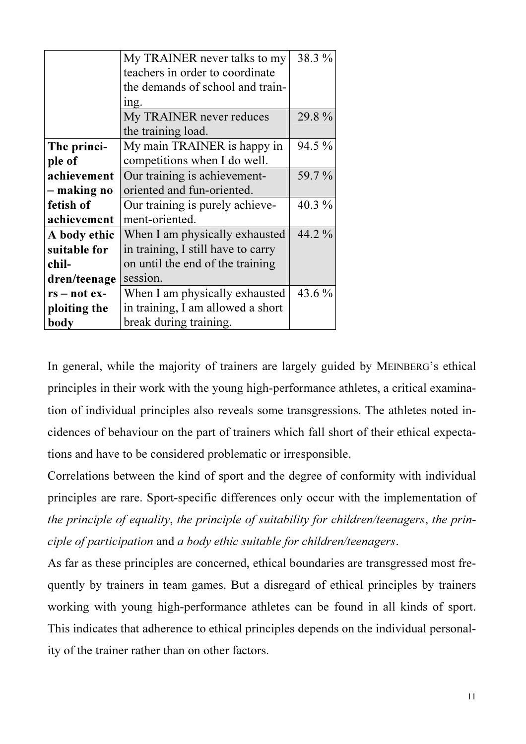|                | My TRAINER never talks to my       | 38.3 %   |
|----------------|------------------------------------|----------|
|                | teachers in order to coordinate    |          |
|                | the demands of school and train-   |          |
|                | ing.                               |          |
|                | My TRAINER never reduces           | 29.8%    |
|                | the training load.                 |          |
| The princi-    | My main TRAINER is happy in        | 94.5 %   |
| ple of         | competitions when I do well.       |          |
| achievement    | Our training is achievement-       | 59.7 %   |
| – making no    | oriented and fun-oriented.         |          |
| fetish of      | Our training is purely achieve-    | 40.3 $%$ |
| achievement    | ment-oriented.                     |          |
| A body ethic   | When I am physically exhausted     | 44.2 %   |
| suitable for   | in training, I still have to carry |          |
| chil-          | on until the end of the training   |          |
| dren/teenage   | session.                           |          |
| $rs - not ex-$ | When I am physically exhausted     | 43.6 %   |
| ploiting the   | in training, I am allowed a short  |          |
| body           | break during training.             |          |

In general, while the majority of trainers are largely guided by MEINBERG's ethical principles in their work with the young high-performance athletes, a critical examination of individual principles also reveals some transgressions. The athletes noted incidences of behaviour on the part of trainers which fall short of their ethical expectations and have to be considered problematic or irresponsible.

Correlations between the kind of sport and the degree of conformity with individual principles are rare. Sport-specific differences only occur with the implementation of the principle of equality, the principle of suitability for children/teenagers, the principle of participation and a body ethic suitable for children/teenagers.

As far as these principles are concerned, ethical boundaries are transgressed most frequently by trainers in team games. But a disregard of ethical principles by trainers working with young high-performance athletes can be found in all kinds of sport. This indicates that adherence to ethical principles depends on the individual personality of the trainer rather than on other factors.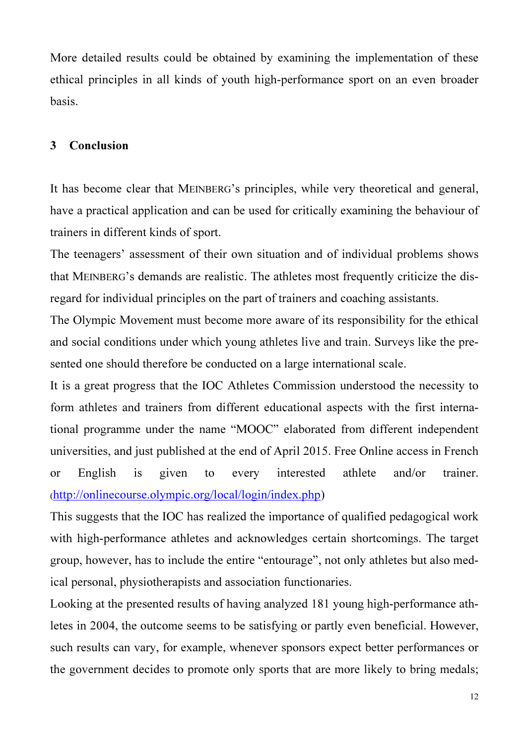More detailed results could be obtained by examining the implementation of these ethical principles in all kinds of youth high-performance sport on an even broader basis.

## 3 Conclusion

It has become clear that MEINBERG's principles, while very theoretical and general, have a practical application and can be used for critically examining the behaviour of trainers in different kinds of sport.

The teenagers' assessment of their own situation and of individual problems shows that MEINBERG's demands are realistic. The athletes most frequently criticize the disregard for individual principles on the part of trainers and coaching assistants.

The Olympic Movement must become more aware of its responsibility for the ethical and social conditions under which young athletes live and train. Surveys like the presented one should therefore be conducted on a large international scale.

It is a great progress that the IOC Athletes Commission understood the necessity to form athletes and trainers from different educational aspects with the first international programme under the name "MOOC" elaborated from different independent universities, and just published at the end of April 2015. Free Online access in French or English is given to every interested athlete and/or trainer. (http://onlinecourse.olympic.org/local/login/index.php)

This suggests that the IOC has realized the importance of qualified pedagogical work with high-performance athletes and acknowledges certain shortcomings. The target group, however, has to include the entire "entourage", not only athletes but also medical personal, physiotherapists and association functionaries.

Looking at the presented results of having analyzed 181 young high-performance athletes in 2004, the outcome seems to be satisfying or partly even beneficial. However, such results can vary, for example, whenever sponsors expect better performances or the government decides to promote only sports that are more likely to bring medals;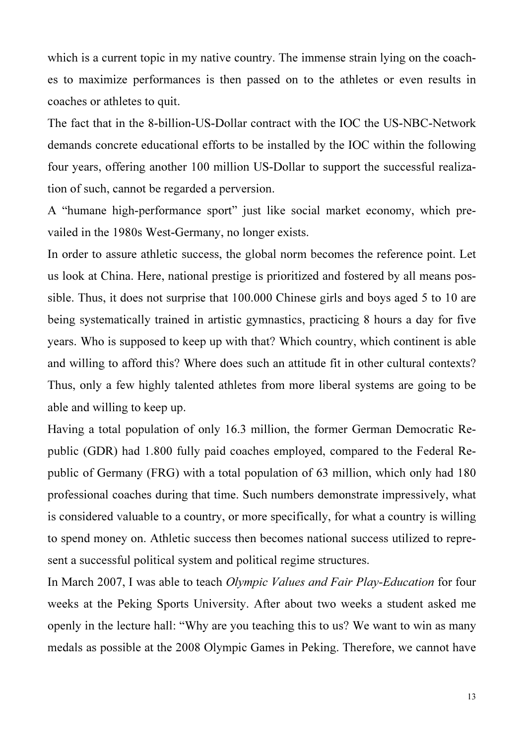which is a current topic in my native country. The immense strain lying on the coaches to maximize performances is then passed on to the athletes or even results in coaches or athletes to quit.

The fact that in the 8-billion-US-Dollar contract with the IOC the US-NBC-Network demands concrete educational efforts to be installed by the IOC within the following four years, offering another 100 million US-Dollar to support the successful realization of such, cannot be regarded a perversion.

A "humane high-performance sport" just like social market economy, which prevailed in the 1980s West-Germany, no longer exists.

In order to assure athletic success, the global norm becomes the reference point. Let us look at China. Here, national prestige is prioritized and fostered by all means possible. Thus, it does not surprise that 100.000 Chinese girls and boys aged 5 to 10 are being systematically trained in artistic gymnastics, practicing 8 hours a day for five years. Who is supposed to keep up with that? Which country, which continent is able and willing to afford this? Where does such an attitude fit in other cultural contexts? Thus, only a few highly talented athletes from more liberal systems are going to be able and willing to keep up.

Having a total population of only 16.3 million, the former German Democratic Republic (GDR) had 1.800 fully paid coaches employed, compared to the Federal Republic of Germany (FRG) with a total population of 63 million, which only had 180 professional coaches during that time. Such numbers demonstrate impressively, what is considered valuable to a country, or more specifically, for what a country is willing to spend money on. Athletic success then becomes national success utilized to represent a successful political system and political regime structures.

In March 2007, I was able to teach *Olympic Values and Fair Play-Education* for four weeks at the Peking Sports University. After about two weeks a student asked me openly in the lecture hall: "Why are you teaching this to us? We want to win as many medals as possible at the 2008 Olympic Games in Peking. Therefore, we cannot have

13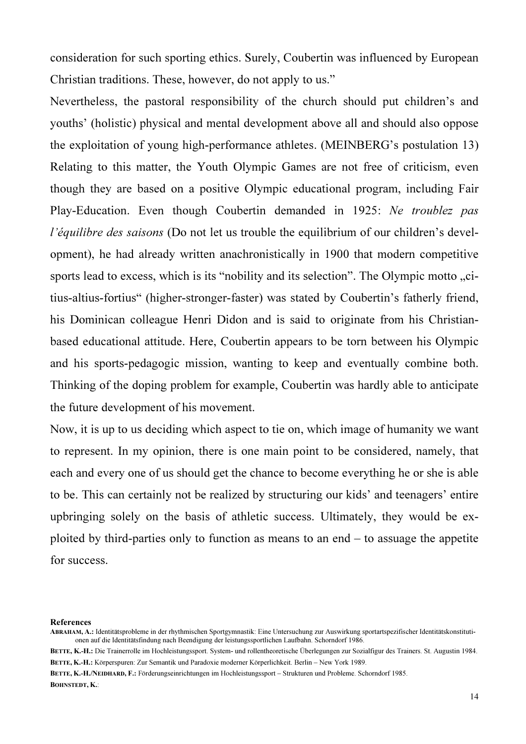consideration for such sporting ethics. Surely, Coubertin was influenced by European Christian traditions. These, however, do not apply to us."

Nevertheless, the pastoral responsibility of the church should put children's and youths' (holistic) physical and mental development above all and should also oppose the exploitation of young high-performance athletes. (MEINBERG's postulation 13) Relating to this matter, the Youth Olympic Games are not free of criticism, even though they are based on a positive Olympic educational program, including Fair Play-Education. Even though Coubertin demanded in 1925: Ne troublez pas l'équilibre des saisons (Do not let us trouble the equilibrium of our children's development), he had already written anachronistically in 1900 that modern competitive sports lead to excess, which is its "nobility and its selection". The Olympic motto "citius-altius-fortius" (higher-stronger-faster) was stated by Coubertin's fatherly friend, his Dominican colleague Henri Didon and is said to originate from his Christianbased educational attitude. Here, Coubertin appears to be torn between his Olympic and his sports-pedagogic mission, wanting to keep and eventually combine both. Thinking of the doping problem for example, Coubertin was hardly able to anticipate the future development of his movement.

Now, it is up to us deciding which aspect to tie on, which image of humanity we want to represent. In my opinion, there is one main point to be considered, namely, that each and every one of us should get the chance to become everything he or she is able to be. This can certainly not be realized by structuring our kids' and teenagers' entire upbringing solely on the basis of athletic success. Ultimately, they would be exploited by third-parties only to function as means to an end  $-$  to assuage the appetite for success.

References

ABRAHAM, A.: Identitätsprobleme in der rhythmischen Sportgymnastik: Eine Untersuchung zur Auswirkung sportartspezifischer Identitätskonstitutionen auf die Identitätsfindung nach Beendigung der leistungssportlichen Laufbahn. Schorndorf 1986.

BETTE, K.-H.: Die Trainerrolle im Hochleistungssport. System- und rollentheoretische Überlegungen zur Sozialfigur des Trainers. St. Augustin 1984. BETTE, K.-H.: Körperspuren: Zur Semantik und Paradoxie moderner Körperlichkeit. Berlin – New York 1989.

BETTE, K.-H./NEIDHARD, F.: Förderungseinrichtungen im Hochleistungssport – Strukturen und Probleme. Schorndorf 1985. BOHNSTEDT, K.: